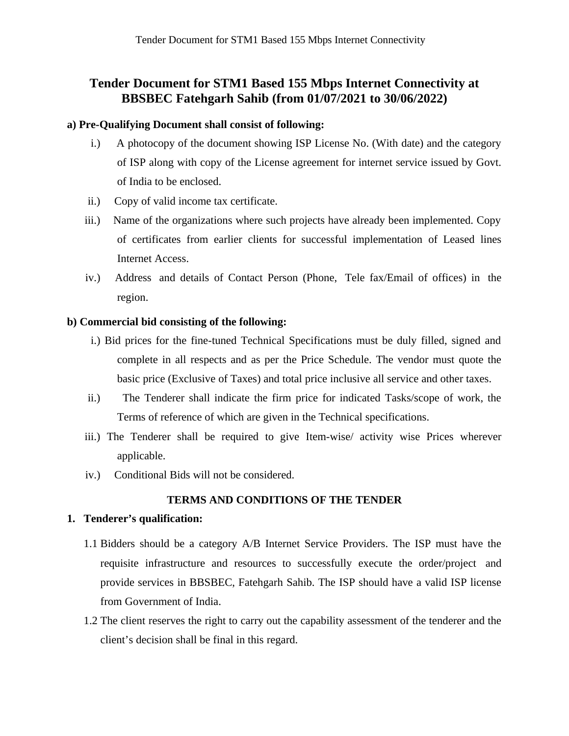# **Tender Document for STM1 Based 155 Mbps Internet Connectivity at BBSBEC Fatehgarh Sahib (from 01/07/2021 to 30/06/2022)**

### **a) Pre-Qualifying Document shall consist of following:**

- i.) A photocopy of the document showing ISP License No. (With date) and the category of ISP along with copy of the License agreement for internet service issued by Govt. of India to be enclosed.
- ii.) Copy of valid income tax certificate.
- iii.) Name of the organizations where such projects have already been implemented. Copy of certificates from earlier clients for successful implementation of Leased lines Internet Access.
- iv.) Address and details of Contact Person (Phone, Tele fax/Email of offices) in the region.

### **b) Commercial bid consisting of the following:**

- i.) Bid prices for the fine-tuned Technical Specifications must be duly filled, signed and complete in all respects and as per the Price Schedule. The vendor must quote the basic price (Exclusive of Taxes) and total price inclusive all service and other taxes.
- ii.) The Tenderer shall indicate the firm price for indicated Tasks/scope of work, the Terms of reference of which are given in the Technical specifications.
- iii.) The Tenderer shall be required to give Item-wise/ activity wise Prices wherever applicable.
- iv.) Conditional Bids will not be considered.

# **TERMS AND CONDITIONS OF THE TENDER**

### **1. Tenderer's qualification:**

- 1.1 Bidders should be a category A/B Internet Service Providers. The ISP must have the requisite infrastructure and resources to successfully execute the order/project and provide services in BBSBEC, Fatehgarh Sahib. The ISP should have a valid ISP license from Government of India.
- 1.2 The client reserves the right to carry out the capability assessment of the tenderer and the client's decision shall be final in this regard.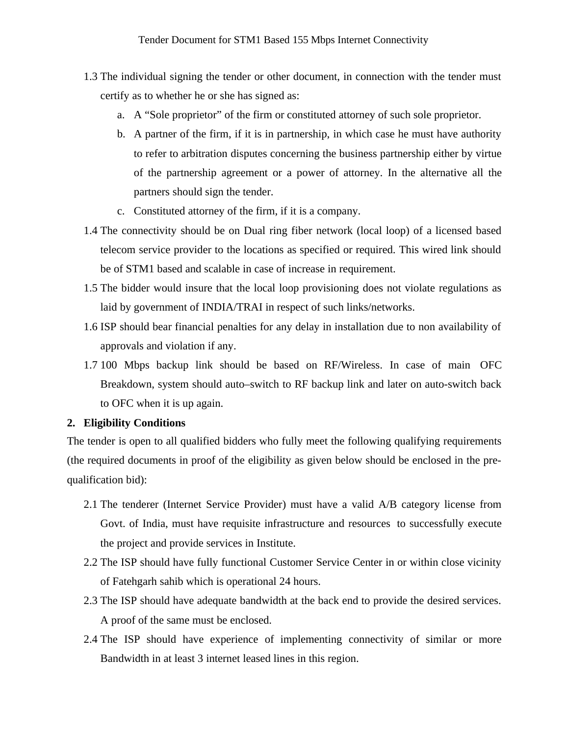- 1.3 The individual signing the tender or other document, in connection with the tender must certify as to whether he or she has signed as:
	- a. A "Sole proprietor" of the firm or constituted attorney of such sole proprietor.
	- b. A partner of the firm, if it is in partnership, in which case he must have authority to refer to arbitration disputes concerning the business partnership either by virtue of the partnership agreement or a power of attorney. In the alternative all the partners should sign the tender.
	- c. Constituted attorney of the firm, if it is a company.
- 1.4 The connectivity should be on Dual ring fiber network (local loop) of a licensed based telecom service provider to the locations as specified or required. This wired link should be of STM1 based and scalable in case of increase in requirement.
- 1.5 The bidder would insure that the local loop provisioning does not violate regulations as laid by government of INDIA/TRAI in respect of such links/networks.
- 1.6 ISP should bear financial penalties for any delay in installation due to non availability of approvals and violation if any.
- 1.7 100 Mbps backup link should be based on RF/Wireless. In case of main OFC Breakdown, system should auto–switch to RF backup link and later on auto-switch back to OFC when it is up again.

# **2. Eligibility Conditions**

The tender is open to all qualified bidders who fully meet the following qualifying requirements (the required documents in proof of the eligibility as given below should be enclosed in the prequalification bid):

- 2.1 The tenderer (Internet Service Provider) must have a valid A/B category license from Govt. of India, must have requisite infrastructure and resources to successfully execute the project and provide services in Institute.
- 2.2 The ISP should have fully functional Customer Service Center in or within close vicinity of Fatehgarh sahib which is operational 24 hours.
- 2.3 The ISP should have adequate bandwidth at the back end to provide the desired services. A proof of the same must be enclosed.
- 2.4 The ISP should have experience of implementing connectivity of similar or more Bandwidth in at least 3 internet leased lines in this region.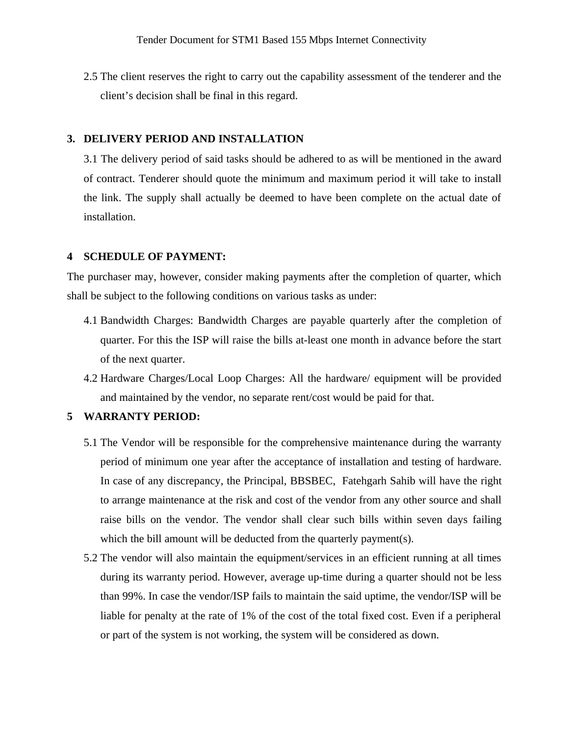2.5 The client reserves the right to carry out the capability assessment of the tenderer and the client's decision shall be final in this regard.

#### **3. DELIVERY PERIOD AND INSTALLATION**

3.1 The delivery period of said tasks should be adhered to as will be mentioned in the award of contract. Tenderer should quote the minimum and maximum period it will take to install the link. The supply shall actually be deemed to have been complete on the actual date of installation.

### **4 SCHEDULE OF PAYMENT:**

The purchaser may, however, consider making payments after the completion of quarter, which shall be subject to the following conditions on various tasks as under:

- 4.1 Bandwidth Charges: Bandwidth Charges are payable quarterly after the completion of quarter. For this the ISP will raise the bills at-least one month in advance before the start of the next quarter.
- 4.2 Hardware Charges/Local Loop Charges: All the hardware/ equipment will be provided and maintained by the vendor, no separate rent/cost would be paid for that.

# **5 WARRANTY PERIOD:**

- 5.1 The Vendor will be responsible for the comprehensive maintenance during the warranty period of minimum one year after the acceptance of installation and testing of hardware. In case of any discrepancy, the Principal, BBSBEC, Fatehgarh Sahib will have the right to arrange maintenance at the risk and cost of the vendor from any other source and shall raise bills on the vendor. The vendor shall clear such bills within seven days failing which the bill amount will be deducted from the quarterly payment(s).
- 5.2 The vendor will also maintain the equipment/services in an efficient running at all times during its warranty period. However, average up-time during a quarter should not be less than 99%. In case the vendor/ISP fails to maintain the said uptime, the vendor/ISP will be liable for penalty at the rate of 1% of the cost of the total fixed cost. Even if a peripheral or part of the system is not working, the system will be considered as down.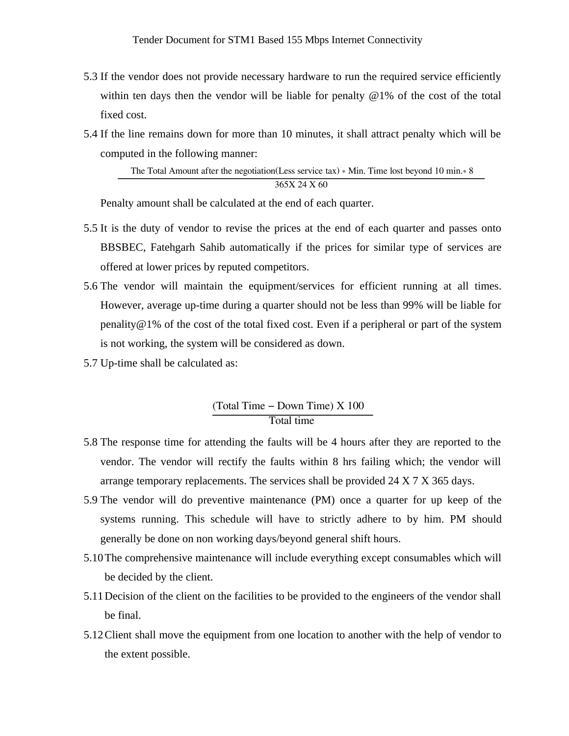- 5.3 If the vendor does not provide necessary hardware to run the required service efficiently within ten days then the vendor will be liable for penalty  $\omega_{1\%}$  of the cost of the total fixed cost.
- 5.4 If the line remains down for more than 10 minutes, it shall attract penalty which will be computed in the following manner:

The Total Amount after the negotiation(Less service tax) ∗ Min. Time lost beyond 10 min.∗ 8 365X 24 X 60

Penalty amount shall be calculated at the end of each quarter.

- 5.5 It is the duty of vendor to revise the prices at the end of each quarter and passes onto BBSBEC, Fatehgarh Sahib automatically if the prices for similar type of services are offered at lower prices by reputed competitors.
- 5.6 The vendor will maintain the equipment/services for efficient running at all times. However, average up-time during a quarter should not be less than 99% will be liable for penality $@1\%$  of the cost of the total fixed cost. Even if a peripheral or part of the system is not working, the system will be considered as down.
- 5.7 Up-time shall be calculated as:

# (Total Time − Down Time) X 100 Total time

- 5.8 The response time for attending the faults will be 4 hours after they are reported to the vendor. The vendor will rectify the faults within 8 hrs failing which; the vendor will arrange temporary replacements. The services shall be provided 24 X 7 X 365 days.
- 5.9 The vendor will do preventive maintenance (PM) once a quarter for up keep of the systems running. This schedule will have to strictly adhere to by him. PM should generally be done on non working days/beyond general shift hours.
- 5.10The comprehensive maintenance will include everything except consumables which will be decided by the client.
- 5.11Decision of the client on the facilities to be provided to the engineers of the vendor shall be final.
- 5.12Client shall move the equipment from one location to another with the help of vendor to the extent possible.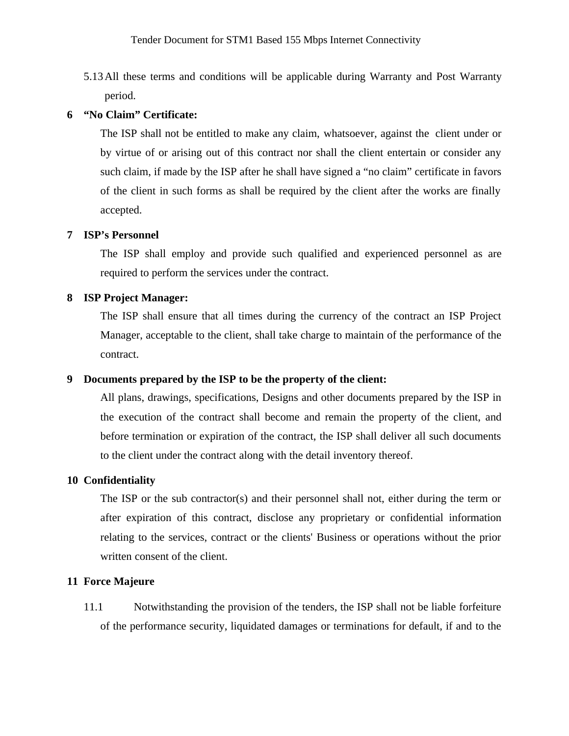5.13All these terms and conditions will be applicable during Warranty and Post Warranty period.

# **6 "No Claim" Certificate:**

The ISP shall not be entitled to make any claim, whatsoever, against the client under or by virtue of or arising out of this contract nor shall the client entertain or consider any such claim, if made by the ISP after he shall have signed a "no claim" certificate in favors of the client in such forms as shall be required by the client after the works are finally accepted.

### **7 ISP's Personnel**

The ISP shall employ and provide such qualified and experienced personnel as are required to perform the services under the contract.

### **8 ISP Project Manager:**

The ISP shall ensure that all times during the currency of the contract an ISP Project Manager, acceptable to the client, shall take charge to maintain of the performance of the contract.

### **9 Documents prepared by the ISP to be the property of the client:**

All plans, drawings, specifications, Designs and other documents prepared by the ISP in the execution of the contract shall become and remain the property of the client, and before termination or expiration of the contract, the ISP shall deliver all such documents to the client under the contract along with the detail inventory thereof.

### **10 Confidentiality**

The ISP or the sub contractor(s) and their personnel shall not, either during the term or after expiration of this contract, disclose any proprietary or confidential information relating to the services, contract or the clients' Business or operations without the prior written consent of the client.

### **11 Force Majeure**

11.1 Notwithstanding the provision of the tenders, the ISP shall not be liable forfeiture of the performance security, liquidated damages or terminations for default, if and to the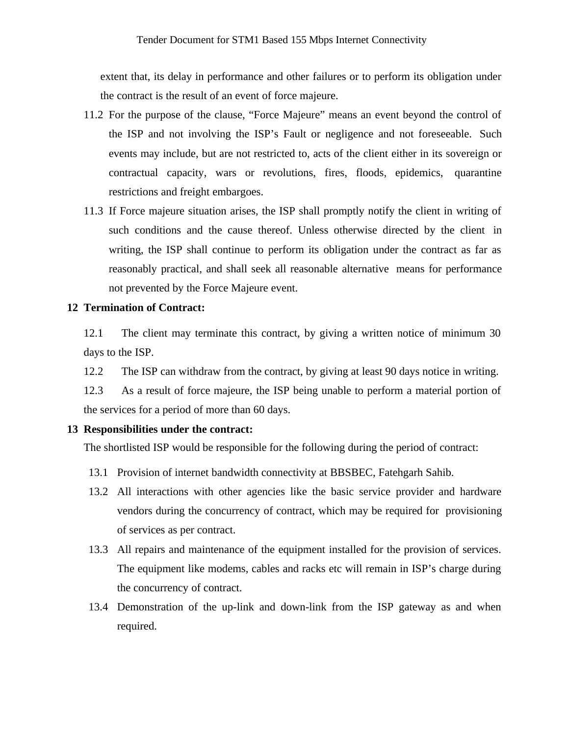extent that, its delay in performance and other failures or to perform its obligation under the contract is the result of an event of force majeure.

- 11.2 For the purpose of the clause, "Force Majeure" means an event beyond the control of the ISP and not involving the ISP's Fault or negligence and not foreseeable. Such events may include, but are not restricted to, acts of the client either in its sovereign or contractual capacity, wars or revolutions, fires, floods, epidemics, quarantine restrictions and freight embargoes.
- 11.3 If Force majeure situation arises, the ISP shall promptly notify the client in writing of such conditions and the cause thereof. Unless otherwise directed by the client in writing, the ISP shall continue to perform its obligation under the contract as far as reasonably practical, and shall seek all reasonable alternative means for performance not prevented by the Force Majeure event.

#### **12 Termination of Contract:**

12.1 The client may terminate this contract, by giving a written notice of minimum 30 days to the ISP.

12.2 The ISP can withdraw from the contract, by giving at least 90 days notice in writing.

12.3 As a result of force majeure, the ISP being unable to perform a material portion of the services for a period of more than 60 days.

#### **13 Responsibilities under the contract:**

The shortlisted ISP would be responsible for the following during the period of contract:

- 13.1 Provision of internet bandwidth connectivity at BBSBEC, Fatehgarh Sahib.
- 13.2 All interactions with other agencies like the basic service provider and hardware vendors during the concurrency of contract, which may be required for provisioning of services as per contract.
- 13.3 All repairs and maintenance of the equipment installed for the provision of services. The equipment like modems, cables and racks etc will remain in ISP's charge during the concurrency of contract.
- 13.4 Demonstration of the up-link and down-link from the ISP gateway as and when required.